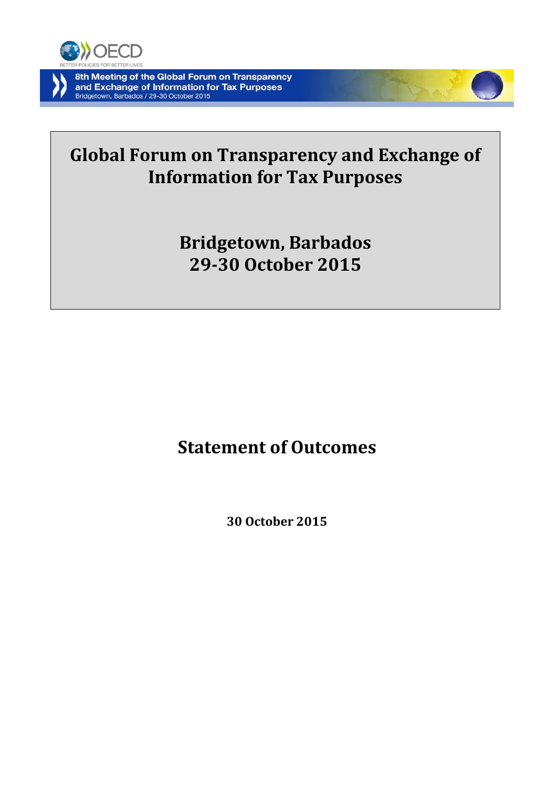

# **Global Forum on Transparency and Exchange of Information for Tax Purposes**

# **Bridgetown, Barbados 29-30 October 2015**

# **Statement of Outcomes**

**30 October 2015**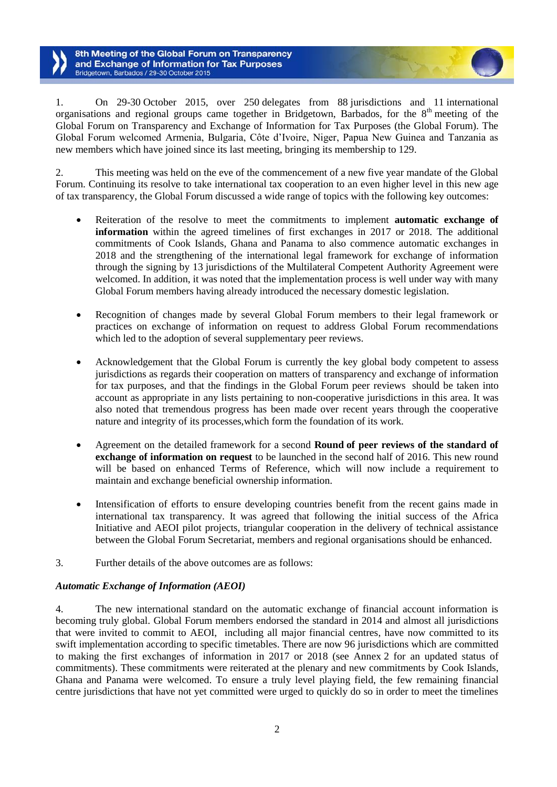1. On 29-30 October 2015, over 250 delegates from 88 jurisdictions and 11 international organisations and regional groups came together in Bridgetown, Barbados, for the  $8<sup>th</sup>$  meeting of the Global Forum on Transparency and Exchange of Information for Tax Purposes (the Global Forum). The Global Forum welcomed Armenia, Bulgaria, Côte d'Ivoire, Niger, Papua New Guinea and Tanzania as new members which have joined since its last meeting, bringing its membership to 129.

2. This meeting was held on the eve of the commencement of a new five year mandate of the Global Forum. Continuing its resolve to take international tax cooperation to an even higher level in this new age of tax transparency, the Global Forum discussed a wide range of topics with the following key outcomes:

- Reiteration of the resolve to meet the commitments to implement **automatic exchange of information** within the agreed timelines of first exchanges in 2017 or 2018. The additional commitments of Cook Islands, Ghana and Panama to also commence automatic exchanges in 2018 and the strengthening of the international legal framework for exchange of information through the signing by 13 jurisdictions of the Multilateral Competent Authority Agreement were welcomed. In addition, it was noted that the implementation process is well under way with many Global Forum members having already introduced the necessary domestic legislation.
- Recognition of changes made by several Global Forum members to their legal framework or practices on exchange of information on request to address Global Forum recommendations which led to the adoption of several supplementary peer reviews.
- Acknowledgement that the Global Forum is currently the key global body competent to assess jurisdictions as regards their cooperation on matters of transparency and exchange of information for tax purposes, and that the findings in the Global Forum peer reviews should be taken into account as appropriate in any lists pertaining to non-cooperative jurisdictions in this area. It was also noted that tremendous progress has been made over recent years through the cooperative nature and integrity of its processes,which form the foundation of its work.
- Agreement on the detailed framework for a second **Round of peer reviews of the standard of exchange of information on request** to be launched in the second half of 2016. This new round will be based on enhanced Terms of Reference, which will now include a requirement to maintain and exchange beneficial ownership information.
- Intensification of efforts to ensure developing countries benefit from the recent gains made in international tax transparency. It was agreed that following the initial success of the Africa Initiative and AEOI pilot projects, triangular cooperation in the delivery of technical assistance between the Global Forum Secretariat, members and regional organisations should be enhanced.
- 3. Further details of the above outcomes are as follows:

# *Automatic Exchange of Information (AEOI)*

4. The new international standard on the automatic exchange of financial account information is becoming truly global. Global Forum members endorsed the standard in 2014 and almost all jurisdictions that were invited to commit to AEOI, including all major financial centres, have now committed to its swift implementation according to specific timetables. There are now 96 jurisdictions which are committed to making the first exchanges of information in 2017 or 2018 (see Annex 2 for an updated status of commitments). These commitments were reiterated at the plenary and new commitments by Cook Islands, Ghana and Panama were welcomed. To ensure a truly level playing field, the few remaining financial centre jurisdictions that have not yet committed were urged to quickly do so in order to meet the timelines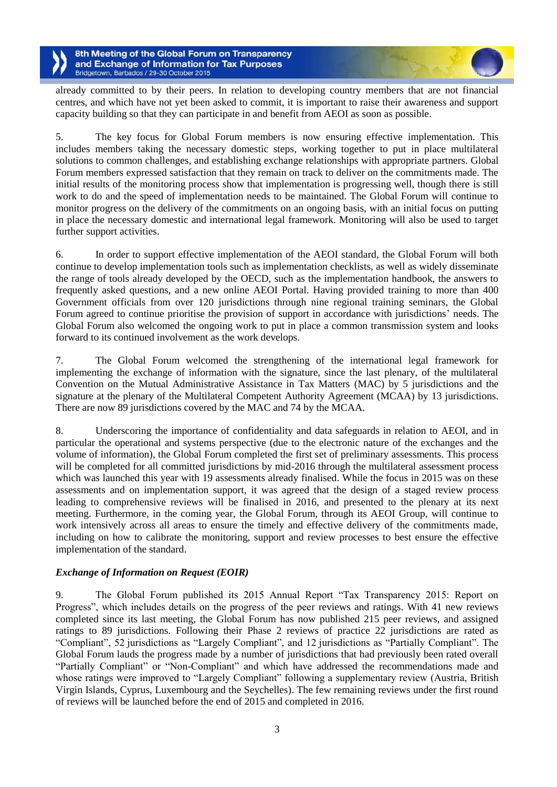already committed to by their peers. In relation to developing country members that are not financial centres, and which have not yet been asked to commit, it is important to raise their awareness and support capacity building so that they can participate in and benefit from AEOI as soon as possible.

5. The key focus for Global Forum members is now ensuring effective implementation. This includes members taking the necessary domestic steps, working together to put in place multilateral solutions to common challenges, and establishing exchange relationships with appropriate partners. Global Forum members expressed satisfaction that they remain on track to deliver on the commitments made. The initial results of the monitoring process show that implementation is progressing well, though there is still work to do and the speed of implementation needs to be maintained. The Global Forum will continue to monitor progress on the delivery of the commitments on an ongoing basis, with an initial focus on putting in place the necessary domestic and international legal framework. Monitoring will also be used to target further support activities.

6. In order to support effective implementation of the AEOI standard, the Global Forum will both continue to develop implementation tools such as implementation checklists, as well as widely disseminate the range of tools already developed by the OECD, such as the implementation handbook, the answers to frequently asked questions, and a new online AEOI Portal. Having provided training to more than 400 Government officials from over 120 jurisdictions through nine regional training seminars, the Global Forum agreed to continue prioritise the provision of support in accordance with jurisdictions' needs. The Global Forum also welcomed the ongoing work to put in place a common transmission system and looks forward to its continued involvement as the work develops.

7. The Global Forum welcomed the strengthening of the international legal framework for implementing the exchange of information with the signature, since the last plenary, of the multilateral Convention on the Mutual Administrative Assistance in Tax Matters (MAC) by 5 jurisdictions and the signature at the plenary of the Multilateral Competent Authority Agreement (MCAA) by 13 jurisdictions. There are now 89 jurisdictions covered by the MAC and 74 by the MCAA.

8. Underscoring the importance of confidentiality and data safeguards in relation to AEOI, and in particular the operational and systems perspective (due to the electronic nature of the exchanges and the volume of information), the Global Forum completed the first set of preliminary assessments. This process will be completed for all committed jurisdictions by mid-2016 through the multilateral assessment process which was launched this year with 19 assessments already finalised. While the focus in 2015 was on these assessments and on implementation support, it was agreed that the design of a staged review process leading to comprehensive reviews will be finalised in 2016, and presented to the plenary at its next meeting. Furthermore, in the coming year, the Global Forum, through its AEOI Group, will continue to work intensively across all areas to ensure the timely and effective delivery of the commitments made, including on how to calibrate the monitoring, support and review processes to best ensure the effective implementation of the standard.

### *Exchange of Information on Request (EOIR)*

9. The Global Forum published its 2015 Annual Report "Tax Transparency 2015: Report on Progress", which includes details on the progress of the peer reviews and ratings. With 41 new reviews completed since its last meeting, the Global Forum has now published 215 peer reviews, and assigned ratings to 89 jurisdictions. Following their Phase 2 reviews of practice 22 jurisdictions are rated as "Compliant", 52 jurisdictions as "Largely Compliant", and 12 jurisdictions as "Partially Compliant". The Global Forum lauds the progress made by a number of jurisdictions that had previously been rated overall "Partially Compliant" or "Non-Compliant" and which have addressed the recommendations made and whose ratings were improved to "Largely Compliant" following a supplementary review (Austria, British Virgin Islands, Cyprus, Luxembourg and the Seychelles). The few remaining reviews under the first round of reviews will be launched before the end of 2015 and completed in 2016.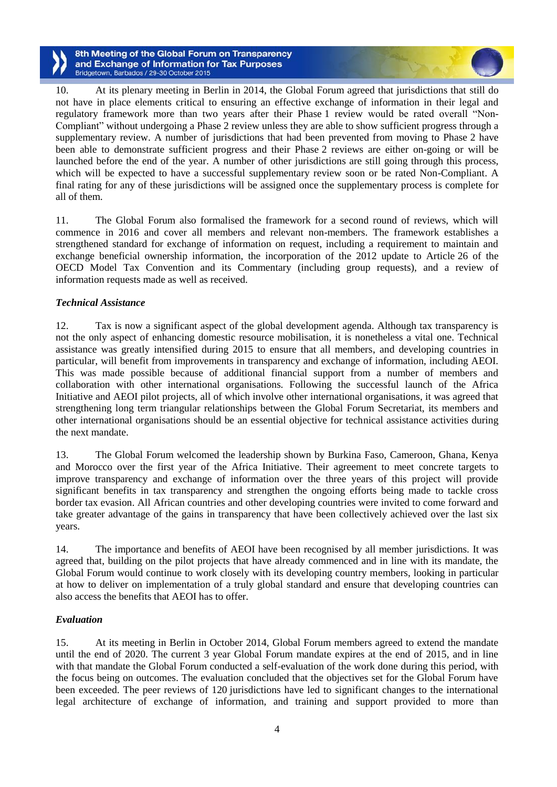10. At its plenary meeting in Berlin in 2014, the Global Forum agreed that jurisdictions that still do not have in place elements critical to ensuring an effective exchange of information in their legal and regulatory framework more than two years after their Phase 1 review would be rated overall "Non-Compliant" without undergoing a Phase 2 review unless they are able to show sufficient progress through a supplementary review. A number of jurisdictions that had been prevented from moving to Phase 2 have been able to demonstrate sufficient progress and their Phase 2 reviews are either on-going or will be launched before the end of the year. A number of other jurisdictions are still going through this process, which will be expected to have a successful supplementary review soon or be rated Non-Compliant. A final rating for any of these jurisdictions will be assigned once the supplementary process is complete for all of them.

11. The Global Forum also formalised the framework for a second round of reviews, which will commence in 2016 and cover all members and relevant non-members. The framework establishes a strengthened standard for exchange of information on request, including a requirement to maintain and exchange beneficial ownership information, the incorporation of the 2012 update to Article 26 of the OECD Model Tax Convention and its Commentary (including group requests), and a review of information requests made as well as received.

## *Technical Assistance*

12. Tax is now a significant aspect of the global development agenda. Although tax transparency is not the only aspect of enhancing domestic resource mobilisation, it is nonetheless a vital one. Technical assistance was greatly intensified during 2015 to ensure that all members, and developing countries in particular, will benefit from improvements in transparency and exchange of information, including AEOI. This was made possible because of additional financial support from a number of members and collaboration with other international organisations. Following the successful launch of the Africa Initiative and AEOI pilot projects, all of which involve other international organisations, it was agreed that strengthening long term triangular relationships between the Global Forum Secretariat, its members and other international organisations should be an essential objective for technical assistance activities during the next mandate.

13. The Global Forum welcomed the leadership shown by Burkina Faso, Cameroon, Ghana, Kenya and Morocco over the first year of the Africa Initiative. Their agreement to meet concrete targets to improve transparency and exchange of information over the three years of this project will provide significant benefits in tax transparency and strengthen the ongoing efforts being made to tackle cross border tax evasion. All African countries and other developing countries were invited to come forward and take greater advantage of the gains in transparency that have been collectively achieved over the last six years.

14. The importance and benefits of AEOI have been recognised by all member jurisdictions. It was agreed that, building on the pilot projects that have already commenced and in line with its mandate, the Global Forum would continue to work closely with its developing country members, looking in particular at how to deliver on implementation of a truly global standard and ensure that developing countries can also access the benefits that AEOI has to offer.

### *Evaluation*

15. At its meeting in Berlin in October 2014, Global Forum members agreed to extend the mandate until the end of 2020. The current 3 year Global Forum mandate expires at the end of 2015, and in line with that mandate the Global Forum conducted a self-evaluation of the work done during this period, with the focus being on outcomes. The evaluation concluded that the objectives set for the Global Forum have been exceeded. The peer reviews of 120 jurisdictions have led to significant changes to the international legal architecture of exchange of information, and training and support provided to more than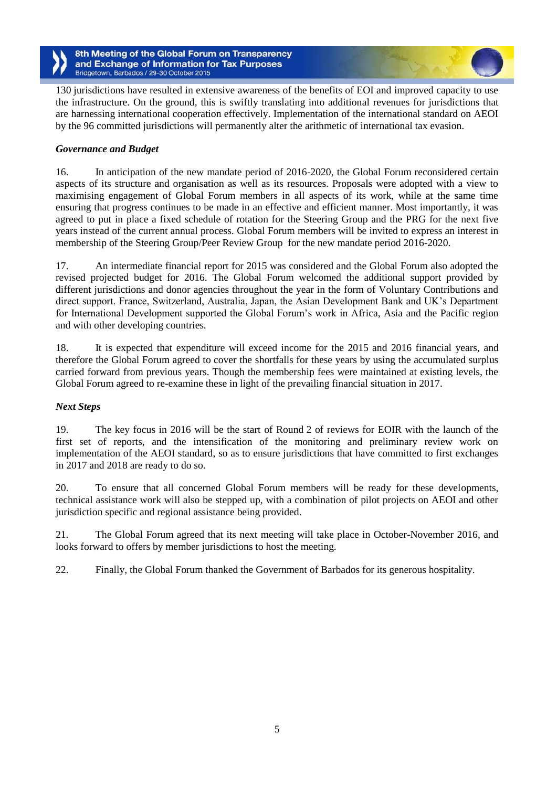130 jurisdictions have resulted in extensive awareness of the benefits of EOI and improved capacity to use the infrastructure. On the ground, this is swiftly translating into additional revenues for jurisdictions that are harnessing international cooperation effectively. Implementation of the international standard on AEOI by the 96 committed jurisdictions will permanently alter the arithmetic of international tax evasion.

# *Governance and Budget*

16. In anticipation of the new mandate period of 2016-2020, the Global Forum reconsidered certain aspects of its structure and organisation as well as its resources. Proposals were adopted with a view to maximising engagement of Global Forum members in all aspects of its work, while at the same time ensuring that progress continues to be made in an effective and efficient manner. Most importantly, it was agreed to put in place a fixed schedule of rotation for the Steering Group and the PRG for the next five years instead of the current annual process. Global Forum members will be invited to express an interest in membership of the Steering Group/Peer Review Group for the new mandate period 2016-2020.

17. An intermediate financial report for 2015 was considered and the Global Forum also adopted the revised projected budget for 2016. The Global Forum welcomed the additional support provided by different jurisdictions and donor agencies throughout the year in the form of Voluntary Contributions and direct support. France, Switzerland, Australia, Japan, the Asian Development Bank and UK's Department for International Development supported the Global Forum's work in Africa, Asia and the Pacific region and with other developing countries.

18. It is expected that expenditure will exceed income for the 2015 and 2016 financial years, and therefore the Global Forum agreed to cover the shortfalls for these years by using the accumulated surplus carried forward from previous years. Though the membership fees were maintained at existing levels, the Global Forum agreed to re-examine these in light of the prevailing financial situation in 2017.

### *Next Steps*

19. The key focus in 2016 will be the start of Round 2 of reviews for EOIR with the launch of the first set of reports, and the intensification of the monitoring and preliminary review work on implementation of the AEOI standard, so as to ensure jurisdictions that have committed to first exchanges in 2017 and 2018 are ready to do so.

20. To ensure that all concerned Global Forum members will be ready for these developments, technical assistance work will also be stepped up, with a combination of pilot projects on AEOI and other jurisdiction specific and regional assistance being provided.

21. The Global Forum agreed that its next meeting will take place in October-November 2016, and looks forward to offers by member jurisdictions to host the meeting.

22. Finally, the Global Forum thanked the Government of Barbados for its generous hospitality.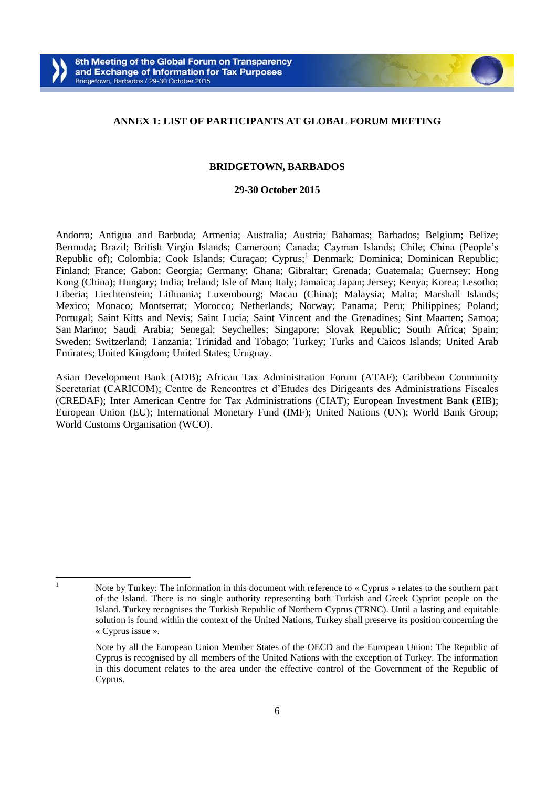#### **ANNEX 1: LIST OF PARTICIPANTS AT GLOBAL FORUM MEETING**

#### **BRIDGETOWN, BARBADOS**

#### **29-30 October 2015**

Andorra; Antigua and Barbuda; Armenia; Australia; Austria; Bahamas; Barbados; Belgium; Belize; Bermuda; Brazil; British Virgin Islands; Cameroon; Canada; Cayman Islands; Chile; China (People's Republic of); Colombia; Cook Islands; Curaçao; Cyprus;<sup>1</sup> Denmark; Dominica; Dominican Republic; Finland; France; Gabon; Georgia; Germany; Ghana; Gibraltar; Grenada; Guatemala; Guernsey; Hong Kong (China); Hungary; India; Ireland; Isle of Man; Italy; Jamaica; Japan; Jersey; Kenya; Korea; Lesotho; Liberia; Liechtenstein; Lithuania; Luxembourg; Macau (China); Malaysia; Malta; Marshall Islands; Mexico; Monaco; Montserrat; Morocco; Netherlands; Norway; Panama; Peru; Philippines; Poland; Portugal; Saint Kitts and Nevis; Saint Lucia; Saint Vincent and the Grenadines; Sint Maarten; Samoa; San Marino; Saudi Arabia; Senegal; Seychelles; Singapore; Slovak Republic; South Africa; Spain; Sweden; Switzerland; Tanzania; Trinidad and Tobago; Turkey; Turks and Caicos Islands; United Arab Emirates; United Kingdom; United States; Uruguay.

Asian Development Bank (ADB); African Tax Administration Forum (ATAF); Caribbean Community Secretariat (CARICOM); Centre de Rencontres et d'Etudes des Dirigeants des Administrations Fiscales (CREDAF); Inter American Centre for Tax Administrations (CIAT); European Investment Bank (EIB); European Union (EU); International Monetary Fund (IMF); United Nations (UN); World Bank Group; World Customs Organisation (WCO).

 $\mathbf{1}$ 

<sup>1</sup> Note by Turkey: The information in this document with reference to « Cyprus » relates to the southern part of the Island. There is no single authority representing both Turkish and Greek Cypriot people on the Island. Turkey recognises the Turkish Republic of Northern Cyprus (TRNC). Until a lasting and equitable solution is found within the context of the United Nations, Turkey shall preserve its position concerning the « Cyprus issue ».

Note by all the European Union Member States of the OECD and the European Union: The Republic of Cyprus is recognised by all members of the United Nations with the exception of Turkey. The information in this document relates to the area under the effective control of the Government of the Republic of Cyprus.